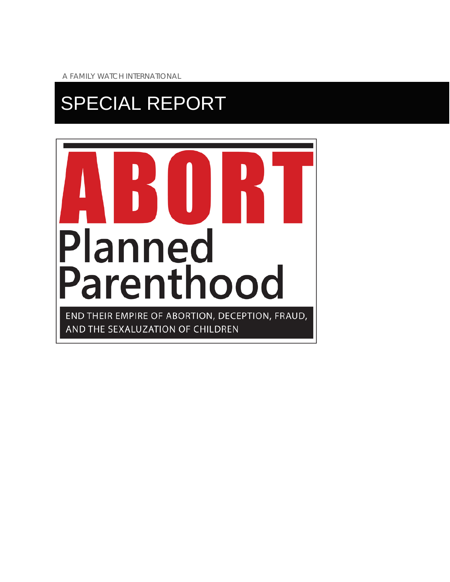A FAMILY WATCH INTERNATIONAL

# SPECIAL REPORT

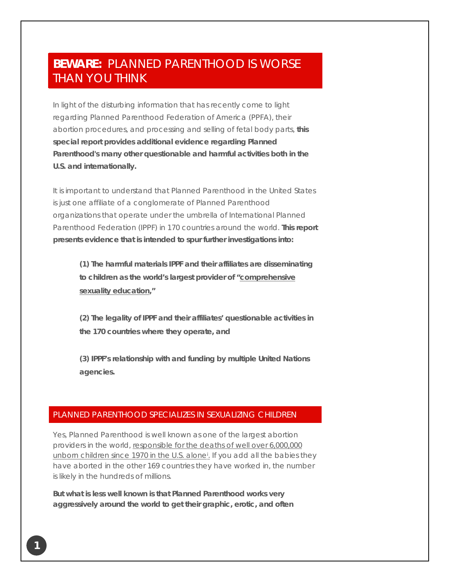# **BEWARE:** PLANNED PARENTHOOD IS WORSE THAN YOU THINK

In light of the disturbing information that has recently come to light regarding Planned Parenthood Federation of America (PPFA), their abortion procedures, and processing and selling of fetal body parts, **this special report provides additional evidence regarding Planned Parenthood's many other questionable and harmful activities both in the U.S. and internationally.**

It is important to understand that Planned Parenthood in the United States is just one affiliate of a conglomerate of Planned Parenthood organizations that operate under the umbrella of International Planned Parenthood Federation (IPPF) in 170 countries around the world. **This report presents evidence that is intended to spur further investigations into:**

**(1) The harmful materials IPPF and their affiliates are disseminating to children as the world's largest provider of "comprehensive sexuality education,"**

**(2) The legality of IPPF and their affiliates' questionable activities in the 170 countries where they operate, and**

**(3) IPPF's relationship with and funding by multiple United Nations agencies.**

### PLANNED PARENTHOOD SPECIALIZES IN SEXUALIZING CHILDREN

Yes, Planned Parenthood is well known as one of the largest abortion providers in the world, [responsible for the deaths of well over 6,000,000](http://www.lifenews.com/2013/12/13/planned-parenthood-has-killed-more-than-six-million-babies-in-abortions/?utm_source=email+marketing+Mailigen&utm_campaign=Pres+Message%3A+Planned+Parenthood&utm_medium=email)  unborn children since 1970 in the U.S. alone<sup>i</sup>. If you add all the babies they have aborted in the other 169 countries they have worked in, the number is likely in the hundreds of millions.

**But what is less well known is that Planned Parenthood works very aggressively around the world to get their graphic, erotic, and often**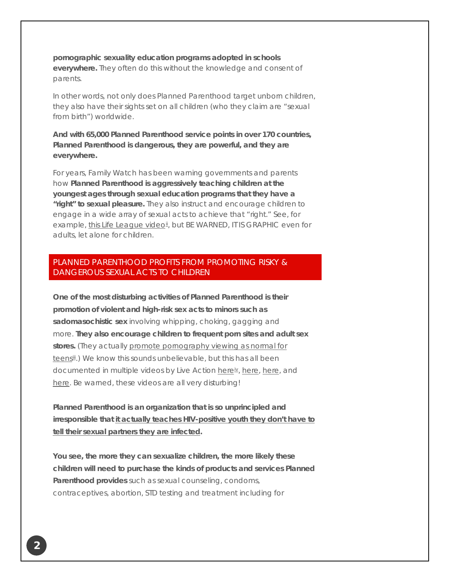**pornographic sexuality education programs adopted in schools everywhere.** They often do this without the knowledge and consent of parents.

In other words, not only does Planned Parenthood target unborn children, they also have their sights set on all children (who they claim are "sexual from birth") worldwide.

**And with 65,000 Planned Parenthood service points in over 170 countries, Planned Parenthood is dangerous, they are powerful, and they are everywhere.**

For years, Family Watch has been warning governments and parents how **Planned Parenthood is aggressively teaching children at the youngest ages through sexual education programs that they have a "right" to sexual pleasure.** They also instruct and encourage children to engage in a wide array of sexual acts to achieve that "right." See, for example, th[i](#page-11-1)s Life League video<sup>ii</sup>, but BE WARNED, IT IS GRAPHIC even for adults, let alone for children.

# PLANNED PARENTHOOD PROFITS FROM PROMOTING RISKY & DANGEROUS SEXUAL ACTS TO CHILDREN.

**One of the most disturbing activities of Planned Parenthood is their promotion of violent and high-risk sex acts to minors such as sadomasochistic sex** involving whipping, choking, gagging and more. **They also encourage children to frequent porn sites and adult sex**  stores. (They actually promote pornography viewing as normal for teens<sup>[ii](#page-11-2)i</sup>.) We know this sounds unbelievable, but this has all been documented in multiple videos by Live Action [herei](http://list.mlgnsignup.com/track/click?u=e51aa8e9806a70a036a77fec150d1407&id=f090337a&e=%5BUNIQID%5D)[v](#page-11-3), [here,](http://list.mlgnsignup.com/track/click?u=e51aa8e9806a70a036a77fec150d1407&id=eb25b766&e=%5BUNIQID%5D) [here,](http://list.mlgnsignup.com/track/click?u=e51aa8e9806a70a036a77fec150d1407&id=ee75f078&e=%5BUNIQID%5D) and [here.](http://list.mlgnsignup.com/track/click?u=e51aa8e9806a70a036a77fec150d1407&id=3df33d49&e=%5BUNIQID%5D) Be warned, these videos are all very disturbing!

**Planned Parenthood is an organization that is so unprincipled and irresponsible that it actually teaches [HIV-positive youth they don't have to](http://www.comprehensivesexualityeducation.org/?p=374)  [tell their sexual partners they are infected.](http://www.comprehensivesexualityeducation.org/?p=374)**

**You see, the more they can sexualize children, the more likely these children will need to purchase the kinds of products and services Planned Parenthood provides** such as sexual counseling, condoms, contraceptives, abortion, STD testing and treatment including for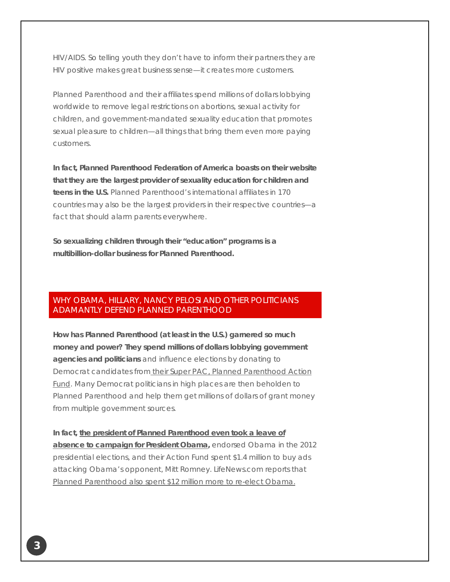HIV/AIDS. So telling youth they don't have to inform their partners they are HIV positive makes great business sense—it creates more customers.

Planned Parenthood and their affiliates spend millions of dollars lobbying worldwide to remove legal restrictions on abortions, sexual activity for children, and government-mandated sexuality education that promotes sexual pleasure to children—all things that bring them even more paying customers.

**In fact, Planned Parenthood Federation of America boasts on their website that they are the largest provider of sexuality education for children and teens in the U.S.** Planned Parenthood's international affiliates in 170 countries may also be the largest providers in their respective countries—a fact that should alarm parents everywhere.

**So sexualizing children through their "education" programs is a multibillion-dollar business for Planned Parenthood.**

# WHY OBAMA, HILLARY, NANCY PELOSI AND OTHER POLITICIANS ADAMANTLY DEFEND PLANNED PARENTHOOD

**How has Planned Parenthood (at least in the U.S.) garnered so much money and power? They spend millions of dollars lobbying government agencies and politicians** and influence elections by donating to Democrat candidates from [their Super PAC, Planned Parenthood Action](http://list.mlgnsignup.com/track/click?u=e51aa8e9806a70a036a77fec150d1407&id=0fa1de45&e=%5BUNIQID%5D)  [Fund.](http://list.mlgnsignup.com/track/click?u=e51aa8e9806a70a036a77fec150d1407&id=0fa1de45&e=%5BUNIQID%5D) Many Democrat politicians in high places are then beholden to Planned Parenthood and help them get millions of dollars of grant money from multiple government sources.

**In fact, [the president of Planned Parenthood even took a leave of](http://list.mlgnsignup.com/track/click?u=e51aa8e9806a70a036a77fec150d1407&id=b21c917d&e=%5BUNIQID%5D)  [absence to campaign for President Obama,](http://list.mlgnsignup.com/track/click?u=e51aa8e9806a70a036a77fec150d1407&id=b21c917d&e=%5BUNIQID%5D)** endorsed Obama in the 2012 presidential elections, and their Action Fund spent \$1.4 million to buy ads attacking Obama's opponent, Mitt Romney. LifeNews.com reports that [Planned Parenthood also spent \\$12 million more to re-elect Obama.](http://list.mlgnsignup.com/track/click?u=e51aa8e9806a70a036a77fec150d1407&id=d4a0e20c&e=%5BUNIQID%5D)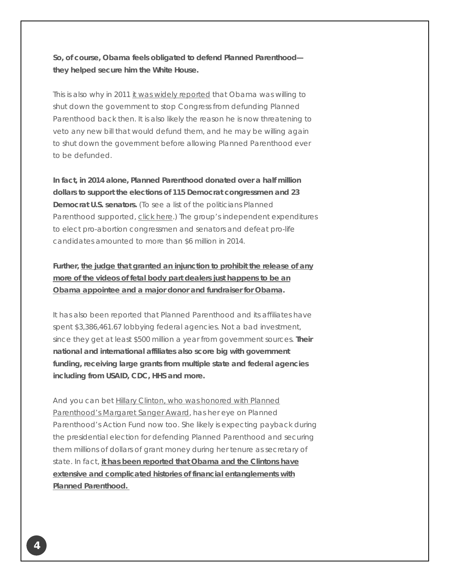**So, of course, Obama feels obligated to defend Planned Parenthood they helped secure him the White House.**

This is also why in 2011 [it was widely reported](http://abcnews.go.com/Politics/government-shutdown-sticking-point-planned-parenthood/story?id=13328560) that Obama was willing to shut down the government to stop Congress from defunding Planned Parenthood back then. It is also likely the reason he is now threatening to veto any new bill that would defund them, and he may be willing again to shut down the government before allowing Planned Parenthood ever to be defunded.

**In fact, in 2014 alone, Planned Parenthood donated over a half million dollars to support the elections of 115 Democrat congressmen and 23 Democrat U.S. senators.** (To see a list of the politicians Planned Parenthood supported, [click here.](http://list.mlgnsignup.com/track/click?u=e51aa8e9806a70a036a77fec150d1407&id=02766823&e=%5BUNIQID%5D)) The group's independent expenditures to elect pro-abortion congressmen and senators and defeat pro-life candidates amounted to more than \$6 million in 2014.

**Further, the judge that granted an [injunction to prohibit the release of any](http://www.breitbart.com/big-government/2015/08/01/judge-blocking-planned-parenthood-videos-an-obama-bundler-and-donor/)  [more of the videos of fetal body part dealers](http://www.breitbart.com/big-government/2015/08/01/judge-blocking-planned-parenthood-videos-an-obama-bundler-and-donor/) just happens to be an [Obama appointee and a major donor and fundraiser for Obama.](http://www.breitbart.com/big-government/2015/08/01/judge-blocking-planned-parenthood-videos-an-obama-bundler-and-donor/)**

It has also been reported that Planned Parenthood and its affiliates have spent \$3,386,461.67 lobbying federal agencies. Not a bad investment, since they get at least \$500 million a year from government sources. **Their national and international affiliates also score big with government funding, receiving large grants from multiple state and federal agencies including from USAID, CDC, HHS and more.**

And you can bet Hillary Clinton, who was honored with Planned Parenthood's [Margaret Sanger Award,](http://list.mlgnsignup.com/track/click?u=e51aa8e9806a70a036a77fec150d1407&id=ba2c7dc4&e=%5BUNIQID%5D) has her eye on Planned Parenthood's Action Fund now too. She likely is expecting payback during the presidential election for defending Planned Parenthood and securing them millions of dollars of grant money during her tenure as secretary of state. In fact, **[it has been reported that Obama and the Clintons have](http://www.sba-list.org/sites/default/files/content/shared/07.30.15_hrc_and_pp.pdf?utm_source=email+marketing+Mailigen&utm_campaign=Pres+Message%3A+Planned+Parenthood&utm_medium=email)  [extensive and complicated histories of financial entanglements](http://www.sba-list.org/sites/default/files/content/shared/07.30.15_hrc_and_pp.pdf?utm_source=email+marketing+Mailigen&utm_campaign=Pres+Message%3A+Planned+Parenthood&utm_medium=email) with [Planned Parenthood.](http://www.sba-list.org/sites/default/files/content/shared/07.30.15_hrc_and_pp.pdf?utm_source=email+marketing+Mailigen&utm_campaign=Pres+Message%3A+Planned+Parenthood&utm_medium=email)**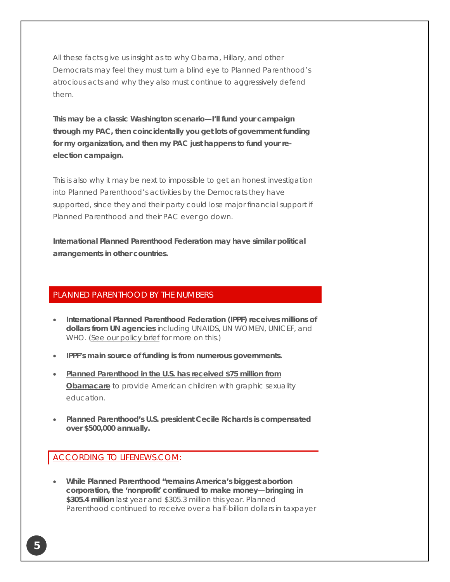All these facts give us insight as to why Obama, Hillary, and other Democrats may feel they must turn a blind eye to Planned Parenthood's atrocious acts and why they also must continue to aggressively defend them.

**This may be a classic Washington scenario—I'll fund your campaign through my PAC, then coincidentally you get lots of government funding for my organization, and then my PAC just happens to fund your reelection campaign.**

This is also why it may be next to impossible to get an honest investigation into Planned Parenthood's activities by the Democrats they have supported, since they and their party could lose major financial support if Planned Parenthood and their PAC ever go down.

**International Planned Parenthood Federation may have similar political arrangements in other countries.**

### PLANNED PARENTHOOD BY THE NUMBERS

- **International Planned Parenthood Federation (IPPF) receives millions of dollars from UN agencies** including UNAIDS, UN WOMEN, UNICEF, and WHO. (See [our policy brief](http://list.mlgnsignup.com/track/click?u=e51aa8e9806a70a036a77fec150d1407&id=0e271285&e=%5BUNIQID%5D) for more on this.)
- **IPPF's main source of funding is from numerous governments.**
- **[Planned Parenthood in the U.S. has received \\$75 million from](http://www.breitbart.com/big-government/2012/11/22/planned-parenthood-receives-obamacare-funding-to-push-sex-on-9th-graders/)  [Obamacare](http://www.breitbart.com/big-government/2012/11/22/planned-parenthood-receives-obamacare-funding-to-push-sex-on-9th-graders/)** to provide American children with graphic sexuality education.
- **Planned Parenthood's U.S. president Cecile Richards is compensated over \$500,000 annually.**

# [ACCORDING TO LIFENEWS.COM:](http://list.mlgnsignup.com/track/click?u=e51aa8e9806a70a036a77fec150d1407&id=b50592a5&e=%5BUNIQID%5D)

• **While Planned Parenthood "remains America's biggest abortion corporation, the 'nonprofit' continued to make money—bringing in \$305.4 million** last year and \$305.3 million this year. Planned Parenthood continued to receive over a half-billion dollars in taxpayer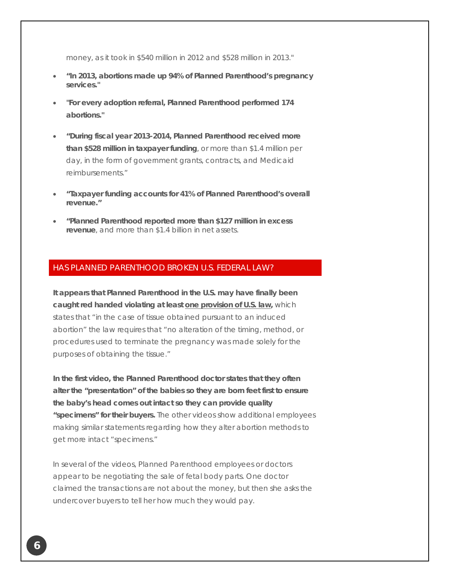money, as it took in \$540 million in 2012 and \$528 million in 2013."

- **"In 2013, abortions made up 94% of Planned Parenthood's pregnancy services."**
- **"For every adoption referral, Planned Parenthood performed 174 abortions."**
- **"During fiscal year 2013-2014, Planned Parenthood received more than \$528 million in taxpayer funding**, or more than \$1.4 million per day, in the form of government grants, contracts, and Medicaid reimbursements."
- **"Taxpayer funding accounts for 41% of Planned Parenthood's overall revenue."**
- **"Planned Parenthood reported more than \$127 million in excess revenue**, and more than \$1.4 billion in net assets.

# HAS PLANNED PARENTHOOD BROKEN U.S. FEDERAL LAW?

**It appears that Planned Parenthood in the U.S. may have finally been caught red handed violating at least [one provision of U.S. law,](http://list.mlgnsignup.com/track/click?u=e51aa8e9806a70a036a77fec150d1407&id=8a80c7cf&e=%5BUNIQID%5D)** which states that "in the case of tissue obtained pursuant to an induced abortion" the law requires that "no alteration of the timing, method, or procedures used to terminate the pregnancy was made solely for the purposes of obtaining the tissue."

**In the first video, the Planned Parenthood doctor states that they often alter the "presentation" of the babies so they are born feet first to ensure the baby's head comes out intact so they can provide quality "specimens" for their buyers.** The other videos show additional employees making similar statements regarding how they alter abortion methods to get more intact "specimens."

In several of the videos, Planned Parenthood employees or doctors appear to be negotiating the sale of fetal body parts. One doctor claimed the transactions are not about the money, but then she asks the undercover buyers to tell her how much they would pay.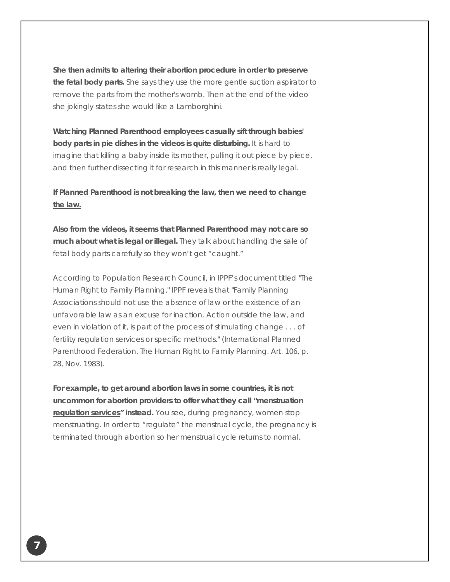**She then admits to altering their abortion procedure in order to preserve the fetal body parts.** She says they use the more gentle suction aspirator to remove the parts from the mother's womb. Then at the end of the video she jokingly states she would like a Lamborghini.

**Watching Planned Parenthood employees casually sift through babies' body parts in pie dishes in the videos is quite disturbing.** It is hard to imagine that killing a baby inside its mother, pulling it out piece by piece, and then further dissecting it for research in this manner is really legal.

# **[If Planned Parenthood is not breaking the law, then we need to change](http://www.mercatornet.com/sheila_liaugminas/view/the-bottom-line-of-what-the-planned-parenthood-videos-reveal/16612)  [the law.](http://www.mercatornet.com/sheila_liaugminas/view/the-bottom-line-of-what-the-planned-parenthood-videos-reveal/16612)**

**Also from the videos, it seems that Planned Parenthood may not care so much about what is legal or illegal.** They talk about handling the sale of fetal body parts carefully so they won't get "caught."

According to Population Research Council, in IPPF's document titled "The Human Right to Family Planning," IPPF reveals that "Family Planning Associations should not use the absence of law or the existence of an unfavorable law as an excuse for inaction. Action outside the law, and even in violation of it, is part of the process of stimulating change . . . of fertility regulation services or specific methods." (International Planned Parenthood Federation. The Human Right to Family Planning. Art. 106, p. 28, Nov. 1983).

**For example, to get around abortion laws in some countries, it is not uncommon for abortion providers to offer what they call ["menstruation](http://list.mlgnsignup.com/track/click?u=e51aa8e9806a70a036a77fec150d1407&id=6c23d1a8&e=%5BUNIQID%5D)  [regulation services"](http://list.mlgnsignup.com/track/click?u=e51aa8e9806a70a036a77fec150d1407&id=6c23d1a8&e=%5BUNIQID%5D) instead.** You see, during pregnancy, women stop menstruating. In order to "regulate" the menstrual cycle, the pregnancy is terminated through abortion so her menstrual cycle returns to normal.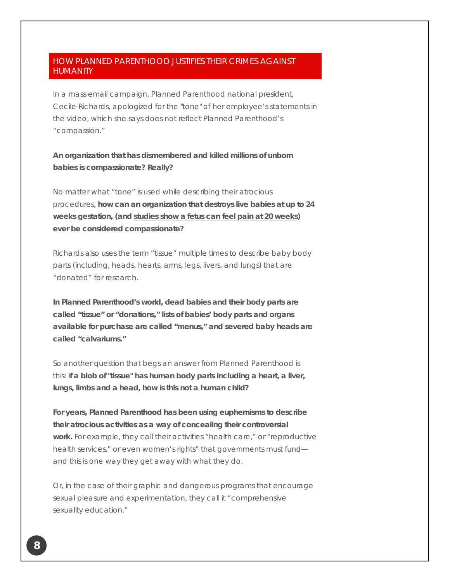# HOW PLANNED PARENTHOOD JUSTIFIES THEIR CRIMES AGAINST HUMANITY

In a mass email campaign, Planned Parenthood national president, Cecile Richards, apologized for the "tone" of her employee's statements in the video, which she says does not reflect Planned Parenthood's "compassion."

# **An organization that has dismembered and killed millions of unborn babies is compassionate? Really?**

No matter what "tone" is used while describing their atrocious procedures, **how can an organization that destroys live babies at up to 24 weeks gestation, (and [studies show a fetus can feel pain at 20 weeks\)](http://www.doctorsonfetalpain.com/) ever be considered compassionate?**

Richards also uses the term "tissue" multiple times to describe baby body parts (including, heads, hearts, arms, legs, livers, and lungs) that are "donated" for research.

**In Planned Parenthood's world, dead babies and their body parts are called "tissue" or "donations," lists of babies' body parts and organs available for purchase are called "menus," and severed baby heads are called "calvariums."**

So another question that begs an answer from Planned Parenthood is this: i**f a blob of "tissue" has human body parts including a heart, a liver, lungs, limbs and a head, how is this not a human child?**

**For years, Planned Parenthood has been using euphemisms to describe their atrocious activities as a way of concealing their controversial work.** For example, they call their activities "health care," or "reproductive health services," or even women's rights" that governments must fund and this is one way they get away with what they do.

Or, in the case of their graphic and dangerous programs that encourage sexual pleasure and experimentation, they call it "comprehensive sexuality education."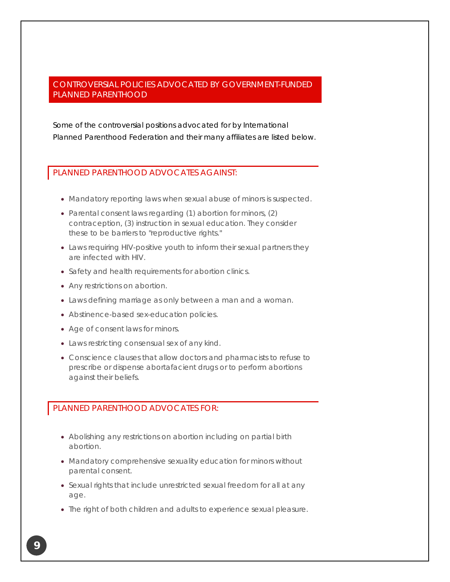# CONTROVERSIAL POLICIES ADVOCATED BY GOVERNMENT-FUNDED PLANNED PARENTHOOD

Some of the controversial positions advocated for by International Planned Parenthood Federation and their many affiliates are listed below.

#### PLANNED PARENTHOOD ADVOCATES AGAINST:

- Mandatory reporting laws when sexual abuse of minors is suspected.
- Parental consent laws regarding (1) abortion for minors, (2) contraception, (3) instruction in sexual education. They consider these to be barriers to "reproductive rights."
- Laws requiring HIV-positive youth to inform their sexual partners they are infected with HIV.
- Safety and health requirements for abortion clinics.
- Any restrictions on abortion.
- Laws defining marriage as only between a man and a woman.
- Abstinence-based sex-education policies.
- Age of consent laws for minors.
- Laws restricting consensual sex of any kind.
- Conscience clauses that allow doctors and pharmacists to refuse to prescribe or dispense abortafacient drugs or to perform abortions against their beliefs.

# PLANNED PARENTHOOD ADVOCATES FOR:

- Abolishing any restrictions on abortion including on partial birth abortion.
- Mandatory comprehensive sexuality education for minors without parental consent.
- Sexual rights that include unrestricted sexual freedom for all at any age.
- The right of both children and adults to experience sexual pleasure.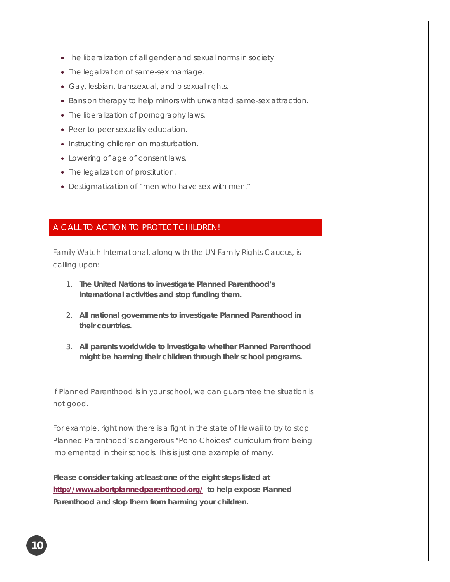- The liberalization of all gender and sexual norms in society.
- The legalization of same-sex marriage.
- Gay, lesbian, transsexual, and bisexual rights.
- Bans on therapy to help minors with unwanted same-sex attraction.
- The liberalization of pornography laws.
- Peer-to-peer sexuality education.
- Instructing children on masturbation.
- Lowering of age of consent laws.
- The legalization of prostitution.
- Destigmatization of "men who have sex with men."

# A CALL TO ACTION TO PROTECT CHILDREN!

Family Watch International, along with the UN Family Rights Caucus, is calling upon:

- 1. **The United Nations to investigate Planned Parenthood's international activities and stop funding them.**
- 2. **All national governments to investigate Planned Parenthood in their countries.**
- 3. **All parents worldwide to investigate whether Planned Parenthood might be harming their children through their school programs.**

If Planned Parenthood is in your school, we can guarantee the situation is not good.

For example, right now there is a fight in the state of Hawaii to try to stop Planned Parenthood's dangerous ["Pono Choices"](http://list.mlgnsignup.com/track/click?u=e51aa8e9806a70a036a77fec150d1407&id=3d2a1b0a&e=%5BUNIQID%5D) curriculum from being implemented in their schools. This is just one example of many.

**Please consider taking at least one of the eight steps listed at <http://www.abortplannedparenthood.org/>to help expose Planned Parenthood and stop them from harming your children.**